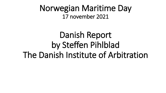Norwegian Maritime Day 17 november 2021

Danish Report by Steffen Pihlblad The Danish Institute of Arbitration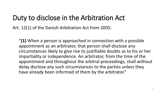## Duty to disclose in the Arbitration Act

Art. 12(1) of the Danish Arbitration Act from 2005:

"**(1)** When a person is approached in connection with a possible appointment as an arbitrator, that person shall disclose any circumstances likely to give rise to justifiable doubts as to his or her impartiality or independence. An arbitrator, from the time of the appointment and throughout the arbitral proceedings, shall without delay disclose any such circumstances to the parties unless they have already been informed of them by the arbitrator."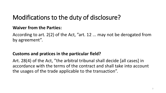## Modifications to the duty of disclosure?

#### **Waiver from the Parties:**

According to art. 2(2) of the Act, "art. 12 ... may not be derogated from by agreement".

#### **Customs and pratices in the particular field?**

Art. 28(4) of the Act, "the arbitral tribunal shall decide [all cases] in accordance with the terms of the contract and shall take into account the usages of the trade applicable to the transaction".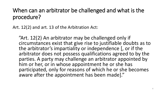## When can an arbitrator be challenged and what is the procedure?

Art. 12(2) and art. 13 of the Arbitration Act:

"Art. 12(2) An arbitrator may be challenged only if circumstances exist that give rise to justifiable doubts as to the arbitrator's impartiality or independence [, or if the arbitrator does not possess qualifications agreed to by the parties. A party may challenge an arbitrator appointed by him or her, or in whose appointment he or she has participated, only for reasons of which he or she becomes aware after the appointment has been made]."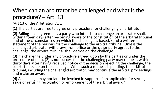## When can an arbitrator be challenged and what is the procedure? – Art. 13

"Art 13 of the Arbitration Act:

**(1)** The parties are free to agree on a procedure for challenging an arbitrator.

**(2)** Failing such agreement, a party who intends to challenge an arbitrator shall, within fifteen days after becoming aware of the constitution of the arbitral tribunal and of the circumstances on which the challenge is based, send a written statement of the reasons for the challenge to the arbitral tribunal. Unless the challenged arbitrator withdraws from office or the other party agrees to the challenge, the arbitral tribunal shall decide on the challenge.

**(3)** If a challenge under any procedure agreed upon by the parties or under the procedure of para. (2) is not successful, the challenging party may request, within thirty days after having received notice of the decision rejecting the challenge, the courts to decide on the challenge. While such a request is pending, the arbitral tribunal, including the challenged arbitrator, may continue the arbitral proceedings<br>and make an award.

**(4)** A challenge may not later be invoked in support of an application for setting aside or refusing recognition or enforcement of the arbitral award."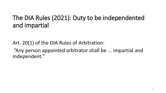## The DIA Rules (2021): Duty to be independented and impartial

Art. 20(1) of the DIA Rules of Arbitration: "Any person appointed arbitrator shall be ... impartial and independent."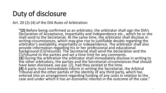## Duty of disclosure

Art. 20 (2)-(4) of the DIA Rules of Arbitration:

**"(2)** Before being confirmed as an arbitrator, the arbitrator shall sign the DIA's Declaration of Acceptance, Impartiality and Independence etc., which he or she shall send to the Secretariat. At the same time, the arbitrator shall disclose in writing circumstances, which may give rise to justifiable doubts regarding the arbitrator's availability, impartiality or independence. The arbitrator shall also provide information regarding his or her professional and educational background (CV/résumé). The Secretariat shall send the declaration and the CV/résumé to the parties and set a time limit for any comments. **(3)** During the arbitration the arbitrator shall immediately disclose in writing to the other arbitrators, the parties and the Secretariat circumstances that should have been disclosed, see par. (2), had they existed at the time. **(4)** A party must immediately inform in writing the Secretariat, the Arbitral Tribunal and the other parties of the identity of any third party, which has entered into an arrangement regarding funding of any costs in relation to the case and under which it has an economic interest in the outcome of the case."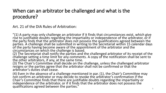### When can an arbitrator be challenged and what is the procedure?

Art. 21 of the DIA Rules of Arbitration:

"(1) A party may only challenge an arbitrator if it finds that circumstances exist, which give rise to justifiable doubts regarding the impartiality or independence of the arbitrator, or if the party finds that the arbitrator does not possess the qualifications agreed between the parties. A challenge shall be submitted in writing to the Secretariat within 15 calendar days<br>of the party having become aware of the appointment of the arbitrator and the

circumstances on which the challenge is based.<br>(2) The Secretariat shall notify the parties and the challenged arbitrator of its receipt of the challenge setting a time limit for any comments. A copy of the notification shall be sent to the other arbitrators, if any, at the same time.

(3) The Chair's Committee shall decide on the challenge, unless the challenged arbitrator resigns or the parties agree that the arbitrator shall not be confirmed or that the arbitrator's duties shall cease.

(4) Even in the absence of a challenge mentioned in par. (1), the Chair's Committee may not confirm an arbitrator or may decide to revoke the arbitrator's confirmation if the Chair's Committee finds that there are justifiable doubts regarding the impartiality or independence of the arbitrator, or if it finds that the arbitrator does not possess the qualifications agreed between the parties." And the set of the set of the set of the set of the set of the set o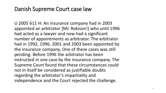### Danish Supreme Court case law

U 2005 611 H: An insurance company had in 2003 appointed an arbitrator [Mr. Rokison!] who until 1996 had acted as a lawyer and now had a significant number of appointments as arbitrator. The arbitrator had in 1992, 1996, 2001 and 2003 been appointed by the insurance company. One of these cases was still pending. Before 1996 the arbitrator has been instructed in one case by the insurance company. The Supreme Court found that these circumstances could not in itself be considered as justifiable doubts regarding the arbitrator's impartiality and independence and the Court rejected the challenge.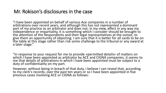#### Mr. Rokison's disclosures in the case

"I have been appointed on behalf of various Ace companies in a number of arbitrations over recent years, and although this has not represented a dominant part of my practice as an arbitrator and does not, in my view, affect in any way my independence or impartiality, it is something which I consider should be brought to the attention of the Respondents and their legal representatives at the outset, to give them an opportunity of objecting. I am sure that it is better for all cards to be on the table at this stage rather than risk some challenge to the tribunal or any award at a later stage."

"In response to your request for me to provide »permitted details« of matters on which I have been appointed as arbitrator by ACE and CIGNA companies, it seems to me that details of arbitrations in which I have been appointed must be subject to a duty of confidentiality on my part.

However, without being in breach of that duty, I believe I can reveal that, according to my clerk's records, over the past ten years or so I have been appointed in five previous cases involving ACE or CIGNA as follows: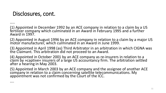## Disclosures, cont.

…..

(1) Appointed in December 1992 by an ACE company in relation to a claim by a US fertilizer company which culminated in an Award in February 1995 and a further Award in 1997.

(2) Appointed in August 1996 by an ACE company in relation to a claim by a major US motor manufacturer, which culminated in an Award in June 1999.

(3) Appointed in April 1998 (as) Third Arbitrator in an arbitration in which CIGNA was the Claimant. This arbitration did not proceed to an Award.

(4) Appointed in October 2001 by an ACE company as re-insurers in relation to a claim by »captive« insurers of a large US accountancy firm. The arbitration settled after a hearing in May 2003.

(5) Appointed in March 2003 by an ACE company and the assignee of another ACE company in relation to a claim concerning satellite telecommunications. My appointment was not confirmed by the Court of the ICC.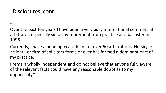## Disclosures, cont.

…

Over the past ten years I have been a very busy international commercial arbitrator, especially since my retirement from practice as a barrister in 1996.

Currently, I have a pending »case load« of over 50 arbitrations. No single »client« or firm of solicitors forms or ever has formed a dominant part of my practice.

I remain wholly independent and do not believe that anyone fully aware of the relevant facts could have any reasonable doubt as to my impartiality."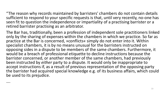"The reason why records maintained by barristers' chambers do not contain details sufficient to respond to your specific requests is that, until very recently, no-one has seen fit to question the independence or impartiality of a practising barrister or a retired barrister practising as an arbitrator.

The Bar has, traditionally, been a profession of independent sole practitioners linked only by the sharing of expenses within the chambers in which we practice. So far as practice at the Bar is concerned, »conflicts« simply do not enter into it. Within specialist chambers, it is by no means unusual for the barristers instructed on opposing sides in a dispute to be members of the same chambers. Furthermore, it would be a breach of professional etiquette to decline instructions because the barrister concerned, or another member of the same chambers, had previously been instructed by *either* party to a dispute. It would only be inappropriate to accept instructions if, as a result of previous representation of the opposing party the barrister had acquired special knowledge e.g. of its business affairs, which could be used to its prejudice.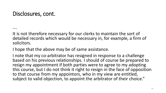### Disclosures, cont.

….

It is not therefore necessary for our clerks to maintain the sort of detailed records which would be necessary in, for example, a firm of solicitors.

I hope that the above may be of same assistance.

I note that my co-arbitrator has resigned in response to a challenge based on his previous relationships. I should of course be prepared to resign my appointment if both parties were to agree to my adopting this course, but I do not think it right to resign in the face of opposition to that course from my appointors, who in my view are entitled, subject to valid objection, to appoint the arbitrator of their choice."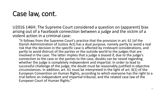## Case law, cont.

U2016 146H: The Supreme Court considered a question on (apparent) bias arising out of a Facebook connection between a judge and the victim of a violent action in a criminal case:

"It follows from the Supreme Court's practice that the provision in art. 61 [of the Danish Administration of Justice Act] has a dual purpose, namely partly to avoid a real risk that the decision in the specific case is affected by irrelevant considerations, and partly to avoid distrust of the parties or the outside world to the judges that are involved in the case. The latter implies that a judge is biased if, due to the judge's connection to the case or the parties to the case, doubts can be raised regarding whether the judge is completely independent and impartial. In order to lead to successful challenge of the judge, the doubt must be reasonably justified in objective circumstances. In addition, art. 61 must be interpreted in the light of art. 6(1) of the European Convention on Human Rights, according to which everyone has the right to a trial before an independent and impartial tribunal, and the related case law of the European Court of Human Rights."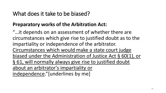### What does it take to be biased?

#### **Preparatory works of the Arbitration Act:**

"…it depends on an assessment of whether there are circumstances which give rise to justified doubt as to the impartiality or independence of the arbitrator. Circumstances which would make a state court judge biased under the Administration of Justice Act § 60(1), or § 61, will normally always give rise to justified doubt about an arbitrator's impartiality or independence."[underlines by me]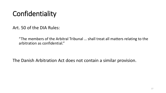# **Confidentiality**

Art. 50 of the DIA Rules:

"The members of the Arbitral Tribunal … shall treat all matters relating to the arbitration as confidential."

The Danish Arbitration Act does not contain a similar provision.